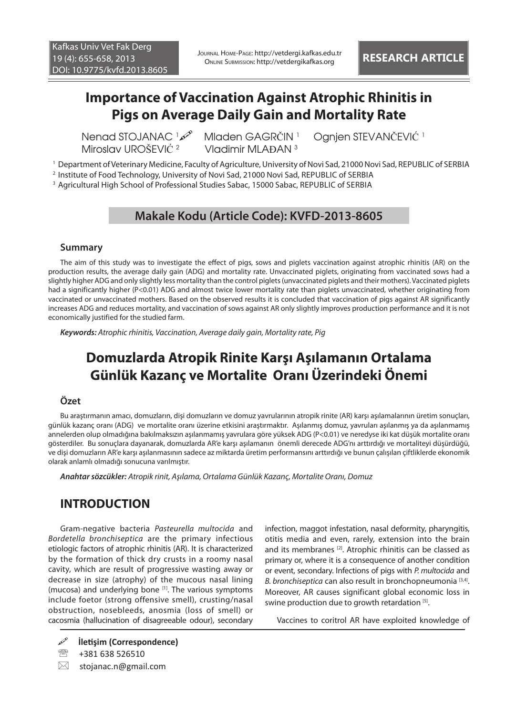Journal Home-Page: http://vetdergi.kafkas.edu.tr Online Submission: http://vetdergikafkas.org **RESEARCH ARTICLE**

# **Importance of Vaccination Against Atrophic Rhinitis in Pigs on Average Daily Gain and Mortality Rate**

Nenad STOJANAC<sup>1</sup> Miroslav UROŠEVIĆ <sup>2</sup>

Mladen GAGRČIN<sup>1</sup> Vladimir MLAĐAN 3

Ognjen STEVANČEVIĆ<sup>1</sup>

1 Department of Veterinary Medicine, Faculty of Agriculture, University of Novi Sad, 21000 Novi Sad, REPUBLIC of SERBIA 2 Institute of Food Technology, University of Novi Sad, 21000 Novi Sad, REPUBLIC of SERBIA

 $^{\rm 3}$  Agricultural High School of Professional Studies Sabac, 15000 Sabac, REPUBLIC of SERBIA

# **Makale Kodu (Article Code): KVFD-2013-8605**

### **Summary**

The aim of this study was to investigate the effect of pigs, sows and piglets vaccination against atrophic rhinitis (AR) on the production results, the average daily gain (ADG) and mortality rate. Unvaccinated piglets, originating from vaccinated sows had a slightly higher ADG and only slightly less mortality than the control piglets (unvaccinated piglets and their mothers). Vaccinated piglets had a significantly higher (P<0.01) ADG and almost twice lower mortality rate than piglets unvaccinated, whether originating from vaccinated or unvaccinated mothers. Based on the observed results it is concluded that vaccination of pigs against AR significantly increases ADG and reduces mortality, and vaccination of sows against AR only slightly improves production performance and it is not economically justified for the studied farm.

*Keywords: Atrophic rhinitis, Vaccination, Average daily gain, Mortality rate, Pig*

# **Domuzlarda Atropik Rinite Karşı Aşılamanın Ortalama Günlük Kazanç ve Mortalite Oranı Üzerindeki Önemi**

# **Özet**

Bu araştırmanın amacı, domuzların, dişi domuzların ve domuz yavrularının atropik rinite (AR) karşı aşılamalarının üretim sonuçları, günlük kazanç oranı (ADG) ve mortalite oranı üzerine etkisini araştırmaktır. Aşılanmış domuz, yavruları aşılanmış ya da aşılanmamış annelerden olup olmadığına bakılmaksızın aşılanmamış yavrulara göre yüksek ADG (P<0.01) ve neredyse iki kat düşük mortalite oranı gösterdiler. Bu sonuçlara dayanarak, domuzlarda AR'e karşı aşılamanın önemli derecede ADG'nı arttırdığı ve mortaliteyi düşürdüğü, ve dişi domuzların AR'e karşı aşılanmasının sadece az miktarda üretim performansını arttırdığı ve bunun çalışılan çiftliklerde ekonomik olarak anlamlı olmadığı sonucuna varılmıştır.

*Anahtar sözcükler: Atropik rinit, Aşılama, Ortalama Günlük Kazanç, Mortalite Oranı, Domuz*

# **INTRODUCTION**

Gram-negative bacteria *Pasteurella multocida* and *Bordetella bronchiseptica* are the primary infectious etiologic factors of atrophic rhinitis (AR). It is characterized by the formation of thick dry crusts in a roomy nasal cavity, which are result of progressive wasting away or decrease in size (atrophy) of the mucous nasal lining (mucosa) and underlying bone  $[1]$ . The various symptoms include foetor (strong offensive smell), crusting/nasal obstruction, nosebleeds, anosmia (loss of smell) or cacosmia (hallucination of disagreeable odour), secondary

infection, maggot infestation, nasal deformity, pharyngitis, otitis media and even, rarely, extension into the brain and its membranes [2]. Atrophic rhinitis can be classed as primary or, where it is a consequence of another condition or event, secondary. Infections of pigs with *P. multocida* and *B. bronchiseptica* can also result in bronchopneumonia [3,4]. Moreover, AR causes significant global economic loss in swine production due to growth retardation [5].

Vaccines to coritrol AR have exploited knowledge of

**İletişim (Correspondence)**

● +381 638 526510

 $\boxtimes$  stojanac.n@gmail.com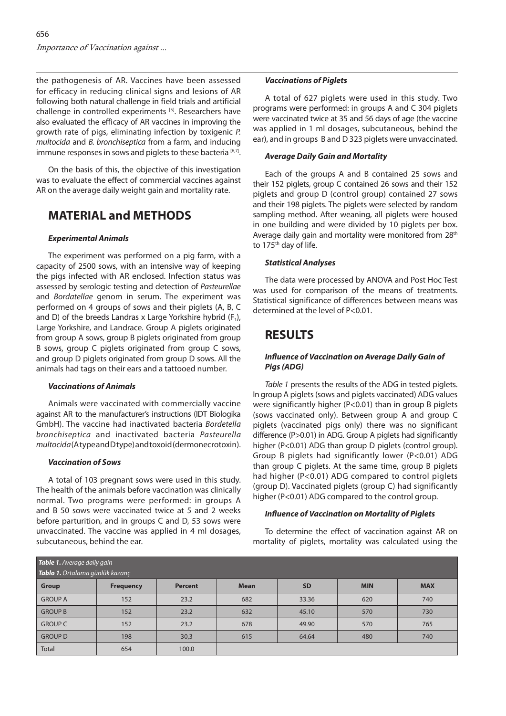the pathogenesis of AR. Vaccines have been assessed for efficacy in reducing clinical signs and lesions of AR following both natural challenge in field trials and artificial challenge in controlled experiments [5]. Researchers have also evaluated the efficacy of AR vaccines in improving the growth rate of pigs, eliminating infection by toxigenic *P. multocida* and *B. bronchiseptica* from a farm, and inducing immune responses in sows and piglets to these bacteria [6,7].

On the basis of this, the objective of this investigation was to evaluate the effect of commercial vaccines against AR on the average daily weight gain and mortality rate.

# **MATERIAL and METHODS**

# *Experimental Animals*

The experiment was performed on a pig farm, with a capacity of 2500 sows, with an intensive way of keeping the pigs infected with AR enclosed. Infection status was assessed by serologic testing and detection of *Pasteurellae* and *Bordatellae* genom in serum. The experiment was performed on 4 groups of sows and their piglets (A, B, C and D) of the breeds Landras x Large Yorkshire hybrid  $(F_1)$ , Large Yorkshire, and Landrace. Group A piglets originated from group A sows, group B piglets originated from group B sows, group C piglets originated from group C sows, and group D piglets originated from group D sows. All the animals had tags on their ears and a tattooed number.

#### *Vaccinations of Animals*

Animals were vaccinated with commercially vaccine against AR to the manufacturer's instructions (IDT Biologika GmbH). The vaccine had inactivated bacteria *Bordetella bronchiseptica* and inactivated bacteria *Pasteurella multocida* (A type and D type) and toxoid (dermonecrotoxin).

#### *Vaccination of Sows*

A total of 103 pregnant sows were used in this study. The health of the animals before vaccination was clinically normal. Two programs were performed: in groups A and B 50 sows were vaccinated twice at 5 and 2 weeks before parturition, and in groups C and D, 53 sows were unvaccinated. The vaccine was applied in 4 ml dosages, subcutaneous, behind the ear.

### *Vaccinations of Piglets*

A total of 627 piglets were used in this study. Two programs were performed: in groups A and C 304 piglets were vaccinated twice at 35 and 56 days of age (the vaccine was applied in 1 ml dosages, subcutaneous, behind the ear), and in groups B and D 323 piglets were unvaccinated.

### *Average Daily Gain and Mortality*

Each of the groups A and B contained 25 sows and their 152 piglets, group C contained 26 sows and their 152 piglets and group D (control group) contained 27 sows and their 198 piglets. The piglets were selected by random sampling method. After weaning, all piglets were housed in one building and were divided by 10 piglets per box. Average daily gain and mortality were monitored from 28<sup>th</sup> to 175<sup>th</sup> day of life.

# *Statistical Analyses*

The data were processed by ANOVA and Post Hoc Test was used for comparison of the means of treatments. Statistical significance of differences between means was determined at the level of P<0.01.

# **RESULTS**

### *Influence of Vaccination on Average Daily Gain of Pigs (ADG)*

*Table 1* presents the results of the ADG in tested piglets. In group A piglets (sows and piglets vaccinated) ADG values were significantly higher (P<0.01) than in group B piglets (sows vaccinated only). Between group A and group C piglets (vaccinated pigs only) there was no significant difference (P>0.01) in ADG. Group A piglets had significantly higher (P<0.01) ADG than group D piglets (control group). Group B piglets had significantly lower (P<0.01) ADG than group C piglets. At the same time, group B piglets had higher (P<0.01) ADG compared to control piglets (group D). Vaccinated piglets (group C) had significantly higher (P<0.01) ADG compared to the control group.

# *Influence of Vaccination on Mortality of Piglets*

To determine the effect of vaccination against AR on mortality of piglets, mortality was calculated using the

| Table 1. Average daily gain<br>Tablo 1. Ortalama günlük kazanç |                  |                |             |           |            |            |  |
|----------------------------------------------------------------|------------------|----------------|-------------|-----------|------------|------------|--|
| <b>Group</b>                                                   | <b>Frequency</b> | <b>Percent</b> | <b>Mean</b> | <b>SD</b> | <b>MIN</b> | <b>MAX</b> |  |
| <b>GROUP A</b>                                                 | 152              | 23.2           | 682         | 33.36     | 620        | 740        |  |
| <b>GROUP B</b>                                                 | 152              | 23.2           | 632         | 45.10     | 570        | 730        |  |
| <b>GROUP C</b>                                                 | 152              | 23.2           | 678         | 49.90     | 570        | 765        |  |
| <b>GROUP D</b>                                                 | 198              | 30,3           | 615         | 64.64     | 480        | 740        |  |
| Total                                                          | 654              | 100.0          |             |           |            |            |  |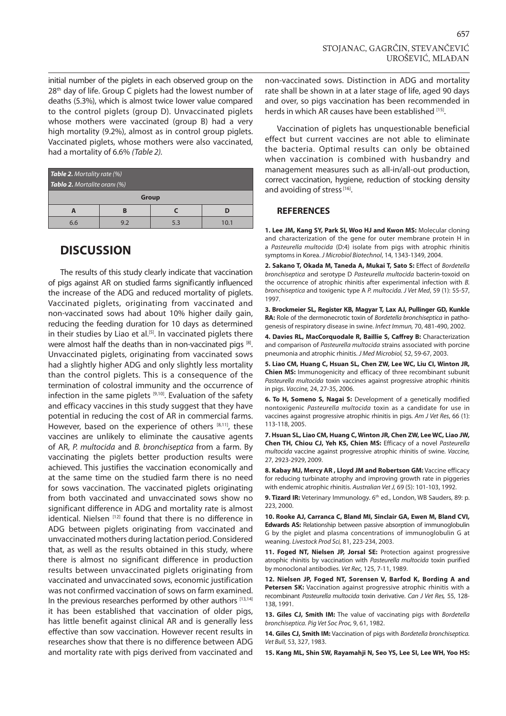initial number of the piglets in each observed group on the 28<sup>th</sup> day of life. Group C piglets had the lowest number of deaths (5.3%), which is almost twice lower value compared to the control piglets (group D). Unvaccinated piglets whose mothers were vaccinated (group B) had a very high mortality (9.2%), almost as in control group piglets. Vaccinated piglets, whose mothers were also vaccinated, had a mortality of 6.6% *(Table 2).*

| <b>Table 2.</b> Mortality rate $(\%)$<br><b>Tablo 2.</b> Mortalite orani (%) |     |     |      |  |  |  |  |
|------------------------------------------------------------------------------|-----|-----|------|--|--|--|--|
| <b>Group</b>                                                                 |     |     |      |  |  |  |  |
|                                                                              |     |     |      |  |  |  |  |
| 6.6                                                                          | 9.2 | 5.3 | 10.1 |  |  |  |  |

# **DISCUSSION**

The results of this study clearly indicate that vaccination of pigs against AR on studied farms significantly influenced the increase of the ADG and reduced mortality of piglets. Vaccinated piglets, originating from vaccinated and non-vaccinated sows had about 10% higher daily gain, reducing the feeding duration for 10 days as determined in their studies by Liao et al.<sup>[5]</sup>. In vaccinated piglets there were almost half the deaths than in non-vaccinated pigs [8]. Unvaccinated piglets, originating from vaccinated sows had a slightly higher ADG and only slightly less mortality than the control piglets. This is a consequence of the termination of colostral immunity and the occurrence of infection in the same piglets  $[9,10]$ . Evaluation of the safety and efficacy vaccines in this study suggest that they have potential in reducing the cost of AR in commercial farms. However, based on the experience of others [8,11], these vaccines are unlikely to eliminate the causative agents of AR, *P. multocida* and *B. bronchiseptica* from a farm. By vaccinating the piglets better production results were achieved. This justifies the vaccination economically and at the same time on the studied farm there is no need for sows vaccination. The vaccinated piglets originating from both vaccinated and unvaccinated sows show no significant difference in ADG and mortality rate is almost identical. Nielsen [12] found that there is no difference in ADG between piglets originating from vaccinated and unvaccinated mothers during lactation period. Considered that, as well as the results obtained in this study, where there is almost no significant difference in production results between unvaccinated piglets originating from vaccinated and unvaccinated sows, economic justification was not confirmed vaccination of sows on farm examined. In the previous researches performed by other authors [13,14] it has been established that vaccination of older pigs, has little benefit against clinical AR and is generally less effective than sow vaccination. However recent results in researches show that there is no difference between ADG and mortality rate with pigs derived from vaccinated and

non-vaccinated sows. Distinction in ADG and mortality rate shall be shown in at a later stage of life, aged 90 days and over, so pigs vaccination has been recommended in herds in which AR causes have been established [15].

Vaccination of piglets has unquestionable beneficial effect but current vaccines are not able to eliminate the bacteria. Optimal results can only be obtained when vaccination is combined with husbandry and management measures such as all-in/all-out production, correct vaccination, hygiene, reduction of stocking density and avoiding of stress [16].

# **REFERENCES**

**1. Lee JM, Kang SY, Park SI, Woo HJ and Kwon MS:** Molecular cloning and characterization of the gene for outer membrane protein H in a *Pasteurella multocida* (D:4) isolate from pigs with atrophic rhinitis symptoms in Korea. *J Microbiol Biotechnol*, 14, 1343-1349, 2004.

**2. Sakano T, Okada M, Taneda A, Mukai T, Sato S:** Effect of *Bordetella bronchiseptica* and serotype D *Pasteurella multocida* bacterin-toxoid on the occurrence of atrophic rhinitis after experimental infection with *B. bronchiseptica* and toxigenic type A *P. multocida. J Vet Med*, 59 (1): 55-57, 1997.

**3. Brockmeier SL, Register KB, Magyar T, Lax AJ, Pullinger GD, Kunkle RA:** Role of the dermonecrotic toxin of *Bordetella bronchiseptica* in pathogenesis of respiratory disease in swine. *Infect Immun,* 70, 481-490, 2002.

**4. Davies RL, MacCorquodale R, Baillie S, Caffrey B:** Characterization and comparison of *Pasteurella multocida* strains associated with porcine pneumonia and atrophic rhinitis. *J Med Microbiol,* 52, 59-67, 2003.

**5. Liao CM, Huang C, Hsuan SL, Chen ZW, Lee WC, Liu CI, Winton JR, Chien MS:** Immunogenicity and efficacy of three recombinant subunit *Pasteurella multocida* toxin vaccines against progressive atrophic rhinitis in pigs. *Vaccine,* 24, 27-35, 2006.

**6. To H, Someno S, Nagai S:** Development of a genetically modified nontoxigenic *Pasteurella multocida* toxin as a candidate for use in vaccines against progressive atrophic rhinitis in pigs. *Am J Vet Res*, 66 (1): 113-118, 2005.

**7. Hsuan SL, Liao CM, Huang C, Winton JR, Chen ZW, Lee WC, Liao JW, Chen TH, Chiou CJ, Yeh KS, Chien MS:** Efficacy of a novel *Pasteurella multocida* vaccine against progressive atrophic rhinitis of swine. *Vaccine,* 27, 2923-2929, 2009.

**8. Kabay MJ, Mercy AR , Lloyd JM and Robertson GM:** Vaccine efficacy for reducing turbinate atrophy and improving growth rate in piggeries with endemic atrophic rhinitis. *Australian Vet J,* 69 (5): 101-103, 1992.

9. Tizard IR: Veterinary Immunology. 6<sup>th</sup> ed., London, WB Sauders, 89: p. 223, 2000.

**10. Rooke AJ, Carranca C, Bland MI, Sinclair GA, Ewen M, Bland CVI, Edwards AS:** Relationship between passive absorption of immunoglobulin G by the piglet and plasma concentrations of immunoglobulin G at weaning. *Livestock Prod Sci,* 81, 223-234, 2003.

**11. Foged NT, Nielsen JP, Jorsal SE:** Protection against progressive atrophic rhinitis by vaccination with *Pasteurella multocida* toxin purified by monoclonal antibodies. *Vet Rec,* 125, 7-11, 1989.

**12. Nielsen JP, Foged NT, Sorensen V, Barfod K, Bording A and Petersen SK:** Vaccination against progressive atrophic rhinitis with a recombinant *Pasteurella multocida* toxin derivative. *Can J Vet Res,* 55, 128- 138, 1991.

**13. Giles CJ, Smith IM:** The value of vaccinating pigs with *Bordetella bronchiseptica. Pig Vet Soc Proc,* 9, 61, 1982.

**14. Giles CJ, Smith IM:** Vaccination of pigs with *Bordetella bronchiseptica. Vet Bull,* 53, 327, 1983.

**15. Kang ML, Shin SW, Rayamahji N, Seo YS, Lee SI, Lee WH, Yoo HS:**